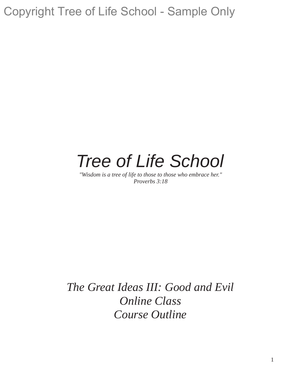# *Tree of Life School*

*"Wisdom is a tree of life to those to those who embrace her." Proverbs 3:18*

*The Great Ideas III: Good and Evil Online Class Course Outline*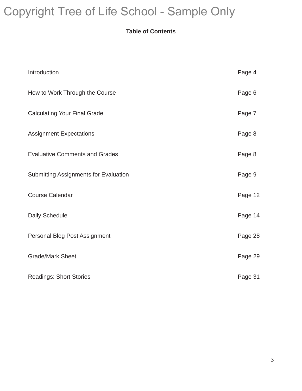### **Table of Contents**

| Introduction                                 | Page 4  |
|----------------------------------------------|---------|
| How to Work Through the Course               | Page 6  |
| <b>Calculating Your Final Grade</b>          | Page 7  |
| <b>Assignment Expectations</b>               | Page 8  |
| <b>Evaluative Comments and Grades</b>        | Page 8  |
| <b>Submitting Assignments for Evaluation</b> | Page 9  |
| <b>Course Calendar</b>                       | Page 12 |
| Daily Schedule                               | Page 14 |
| Personal Blog Post Assignment                | Page 28 |
| <b>Grade/Mark Sheet</b>                      | Page 29 |
| <b>Readings: Short Stories</b>               | Page 31 |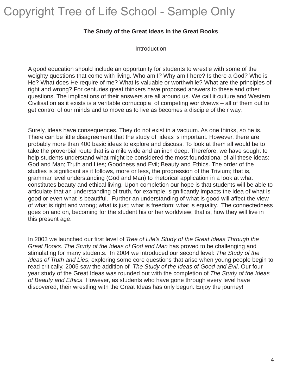#### **The Study of the Great Ideas in the Great Books**

**Introduction** 

A good education should include an opportunity for students to wrestle with some of the weighty questions that come with living. Who am I? Why am I here? Is there a God? Who is He? What does He require of me? What is valuable or worthwhile? What are the principles of right and wrong? For centuries great thinkers have proposed answers to these and other questions. The implications of their answers are all around us. We call it culture and Western Civilisation as it exists is a veritable cornucopia of competing worldviews – all of them out to get control of our minds and to move us to live as becomes a disciple of their way.

Surely, ideas have consequences. They do not exist in a vacuum. As one thinks, so he is. There can be little disagreement that the study of ideas is important. However, there are probably more than 400 basic ideas to explore and discuss. To look at them all would be to take the proverbial route that is a mile wide and an inch deep. Therefore, we have sought to help students understand what might be considered the most foundational of all these ideas: God and Man; Truth and Lies; Goodness and Evil; Beauty and Ethics. The order of the studies is significant as it follows, more or less, the progression of the Trivium; that is, grammar level understanding (God and Man) to rhetorical application in a look at what constitutes beauty and ethical living. Upon completion our hope is that students will be able to articulate that an understanding of truth, for example, significantly impacts the idea of what is good or even what is beautiful. Further an understanding of what is good will affect the view of what is right and wrong; what is just; what is freedom; what is equality. The connectedness goes on and on, becoming for the student his or her worldview; that is, how they will live in this present age.

In 2003 we launched our first level of *Tree of Life's Study of the Great Ideas Through the Great Books*. *The Study of the Ideas of God and Man* has proved to be challenging and stimulating for many students. In 2004 we introduced our second level: *The Study of the Ideas of Truth and Lies*, exploring some core questions that arise when young people begin to read critically. 2005 saw the addition of *The Study of the Ideas of Good and Evil*. Our four year study of the Great Ideas was rounded out with the completion of *The Study of the Ideas of Beauty and Ethics*. However, as students who have gone through every level have discovered, their wrestling with the Great Ideas has only begun. Enjoy the journey!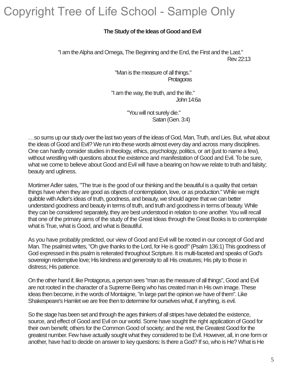#### **The Study of the Ideas of Good and Evil**

"I am the Alpha and Omega, The Beginning and the End, the First and the Last." Rev. 22:13

> "Man is the measure of all things." **Protagoras**

"I am the way, the truth, and the life." John 14:6a

> "You will not surely die." Satan (Gen. 3:4)

 $\ldots$ so sums up our study over the last two years of the ideas of God, Man, Truth, and Lies. But, what about the ideas of Good and Evil? We run into these words almost every day and across many disciplines. One can hardly consider studies in theology, ethics, psychology, politics, or art (just to name a few), without wrestling with questions about the existence and manifestation of Good and Evil. To be sure, what we come to believe about Good and Evil will have a bearing on how we relate to truth and falsity; beauty and ugliness.

Mortimer Adler sates, "The true is the good of our thinking and the beautiful is a quality that certain things have when they are good as objects of contemplation, love, or as production." While we might quibble with Adler's ideas of truth, goodness, and beauty, we should agree that we can better understand goodness and beauty in terms of truth, and truth and goodness in terms of beauty. While they can be considered separately, they are best understood in relation to one another. You will recall that one of the primary aims of the study of the Great Ideas through the Great Books is to contemplate what is True, what is Good, and what is Beautiful.

As you have probably predicted, our view of Good and Evil will be rooted in our concept of God and Man. The psalmist writes, "Oh give thanks to the Lord, for He is good!" (Psalm 136:1) This goodness of God expressed in this psalm is reiterated throughout Scripture. It is multi-faceted and speaks of God's sovereign redemptive love; His kindness and generosity to all His creatures; His pity to those in distress; His patience.

On the other hand if, like Protagorus, a person sees "man as the measure of all things", Good and Evil are not rooted in the character of a Supreme Being who has created man in His own image. These ideas then become, in the words of Montaigne, "in large part the opinion we have of them". Like Shakespeare's Hamlet we are free then to determine for ourselves what, if anything, is evil.

So the stage has been set and through the ages thinkers of all stripes have debated the existence, source, and effect of Good and Evil on our world. Some have sought the right application of Good for their own benefit; others for the Common Good of society; and the rest, the Greatest Good for the greatest number. Few have actually sought what they considered to be Evil. However, all, in one form or another, have had to decide on answer to key questions: Is there a God? If so, who is He? What is He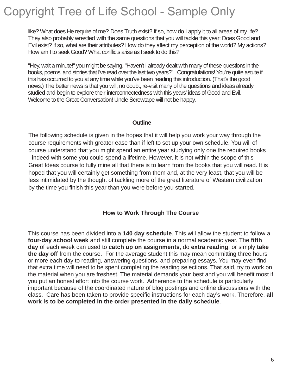like? What does He require of me? Does Truth exist? If so, how do I apply it to all areas of my life? They also probably wrestled with the same questions that you will tackle this year: Does Good and Evil exist? If so, what are their attributes? How do they affect my perception of the world? My actions? How am I to seek Good? What conflicts arise as I seek to do this?

"Hey, wait a minute!" you might be saying. "Haven't I already dealt with many of these questions in the books, poems, and stories that I've read over the last two years?" Congratulations! You're quite astute if this has occurred to you at any time while you've been reading this introduction. (That's the good news.) The better news is that you will, no doubt, re-visit many of the questions and ideas already studied and begin to explore their interconnectedness with this years' ideas of Good and Evil. Welcome to the Great Conversation! Uncle Screwtape will not be happy.

#### **Outline**

The following schedule is given in the hopes that it will help you work your way through the course requirements with greater ease than if left to set up your own schedule. You will of course understand that you might spend an entire year studying only one the required books - indeed with some you could spend a lifetime. However, it is not within the scope of this Great Ideas course to fully mine all that there is to learn from the books that you will read. It is hoped that you will certainly get something from them and, at the very least, that you will be less intimidated by the thought of tackling more of the great literature of Western civilization by the time you finish this year than you were before you started.

#### **How to Work Through The Course**

This course has been divided into a **140 day schedule**. This will allow the student to follow a **four-day school week** and still complete the course in a normal academic year. The **fifth day** of each week can used to **catch up on assignments**, do **extra reading**, or simply **take the day off** from the course. For the average student this may mean committing three hours or more each day to reading, answering questions, and preparing essays. You may even find that extra time will need to be spent completing the reading selections. That said, try to work on the material when you are freshest. The material demands your best and you will benefit most if you put an honest effort into the course work. Adherence to the schedule is particularly important because of the coordinated nature of blog postings and online discussions with the class. Care has been taken to provide specific instructions for each day's work. Therefore, **all work is to be completed in the order presented in the daily schedule**.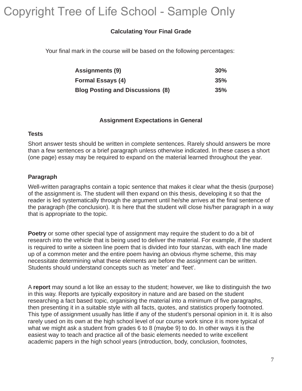#### **Calculating Your Final Grade**

Your final mark in the course will be based on the following percentages:

| <b>Assignments (9)</b>                  | 30% |
|-----------------------------------------|-----|
| <b>Formal Essays (4)</b>                | 35% |
| <b>Blog Posting and Discussions (8)</b> | 35% |

#### **Assignment Expectations in General**

#### **Tests**

Short answer tests should be written in complete sentences. Rarely should answers be more than a few sentences or a brief paragraph unless otherwise indicated. In these cases a short (one page) essay may be required to expand on the material learned throughout the year.

#### **Paragraph**

Well-written paragraphs contain a topic sentence that makes it clear what the thesis (purpose) of the assignment is. The student will then expand on this thesis, developing it so that the reader is led systematically through the argument until he/she arrives at the final sentence of the paragraph (the conclusion). It is here that the student will close his/her paragraph in a way that is appropriate to the topic.

**Poetry** or some other special type of assignment may require the student to do a bit of research into the vehicle that is being used to deliver the material. For example, if the student is required to write a sixteen line poem that is divided into four stanzas, with each line made up of a common meter and the entire poem having an obvious rhyme scheme, this may necessitate determining what these elements are before the assignment can be written. Students should understand concepts such as 'meter' and 'feet'.

A **report** may sound a lot like an essay to the student; however, we like to distinguish the two in this way. Reports are typically expository in nature and are based on the student researching a fact based topic, organising the material into a minimum of five paragraphs, then presenting it in a suitable style with all facts, quotes, and statistics properly footnoted. This type of assignment usually has little if any of the student's personal opinion in it. It is also rarely used on its own at the high school level of our course work since it is more typical of what we might ask a student from grades 6 to 8 (maybe 9) to do. In other ways it is the easiest way to teach and practice all of the basic elements needed to write excellent academic papers in the high school years (introduction, body, conclusion, footnotes,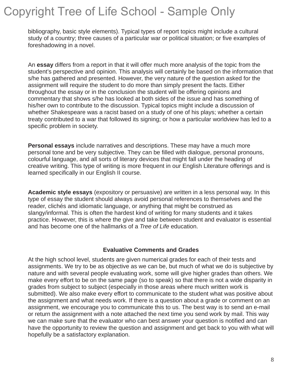bibliography, basic style elements). Typical types of report topics might include a cultural study of a country; three causes of a particular war or political situation; or five examples of foreshadowing in a novel.

An **essay** differs from a report in that it will offer much more analysis of the topic from the student's perspective and opinion. This analysis will certainly be based on the information that s/he has gathered and presented. However, the very nature of the question asked for the assignment will require the student to do more than simply present the facts. Either throughout the essay or in the conclusion the student will be offering opinions and commentary that shows s/he has looked at both sides of the issue and has something of his/her own to contribute to the discussion. Typical topics might include a discussion of whether Shakespeare was a racist based on a study of one of his plays; whether a certain treaty contributed to a war that followed its signing; or how a particular worldview has led to a specific problem in society.

**Personal essays** include narratives and descriptions. These may have a much more personal tone and be very subjective. They can be filled with dialogue, personal pronouns, colourful language, and all sorts of literary devices that might fall under the heading of creative writing. This type of writing is more frequent in our English Literature offerings and is learned specifically in our English II course.

**Academic style essays** (expository or persuasive) are written in a less personal way. In this type of essay the student should always avoid personal references to themselves and the reader, clichés and idiomatic language, or anything that might be construed as slangy/informal. This is often the hardest kind of writing for many students and it takes practice. However, this is where the give and take between student and evaluator is essential and has become one of the hallmarks of a *Tree of Life* education.

#### **Evaluative Comments and Grades**

At the high school level, students are given numerical grades for each of their tests and assignments. We try to be as objective as we can be, but much of what we do is subjective by nature and with several people evaluating work, some will give higher grades than others. We make every effort to be on the same page (so to speak) so that there is not a wide disparity in grades from subject to subject (especially in those areas where much written work is submitted). We also make every effort to communicate to the student what was positive about the assignment and what needs work. If there is a question about a grade or comment on an assignment, we encourage you to communicate this to us. The best way is to send an e-mail or return the assignment with a note attached the next time you send work by mail. This way we can make sure that the evaluator who can best answer your question is notified and can have the opportunity to review the question and assignment and get back to you with what will hopefully be a satisfactory explanation.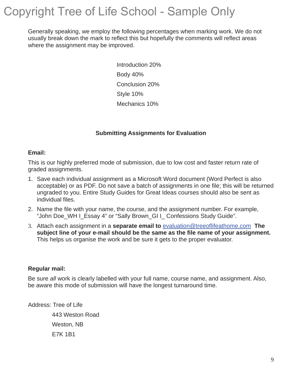Generally speaking, we employ the following percentages when marking work. We do not usually break down the mark to reflect this but hopefully the comments will reflect areas where the assignment may be improved.

> Introduction 20% Body 40% Conclusion 20% Style 10% Mechanics 10%

#### **Submitting Assignments for Evaluation**

#### **Email:**

This is our highly preferred mode of submission, due to low cost and faster return rate of graded assignments.

- 1. Save each individual assignment as a Microsoft Word document (Word Perfect is also acceptable) or as PDF. Do not save a batch of assignments in one file; this will be returned ungraded to you. Entire Study Guides for Great Ideas courses should also be sent as individual files.
- 2. Name the file with your name, the course, and the assignment number. For example, "John Doe WH I Essay 4" or "Sally Brown GI I Confessions Study Guide".
- 3. Attach each assignment in a **separate email to** evaluation@treeoflifeathome.com **The subject line of your e-mail should be the same as the file name of your assignment.**  This helps us organise the work and be sure it gets to the proper evaluator.

#### **Regular mail:**

Be sure *all* work is clearly labelled with your full name, course name, and assignment. Also, be aware this mode of submission will have the longest turnaround time.

Address: Tree of Life

 443 Weston Road Weston, NB E7K 1B1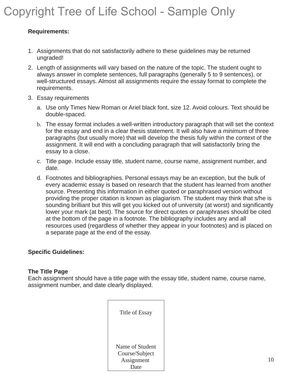#### **Requirements:**

- 1. Assignments that do not satisfactorily adhere to these guidelines may be returned ungraded!
- 2. Length of assignments will vary based on the nature of the topic. The student ought to always answer in complete sentences, full paragraphs (generally 5 to 9 sentences), or well-structured essays. Almost all assignments require the essay format to complete the requirements.
- 3. Essay requirements
	- a. Use only Times New Roman or Ariel black font, size 12. Avoid colours. Text should be double-spaced.
	- b. The essay format includes a well-written introductory paragraph that will set the context for the essay and end in a clear thesis statement. It will also have a *minimum* of three paragraphs (but usually more) that will develop the thesis fully within the context of the assignment. It will end with a concluding paragraph that will satisfactorily bring the essay to a close.
	- c. Title page. Include essay title, student name, course name, assignment number, and date.
	- d. Footnotes and bibliographies. Personal essays may be an exception, but the bulk of every academic essay is based on research that the student has learned from another source. Presenting this information in either quoted or paraphrased version without providing the proper citation is known as plagiarism. The student may think that s/he is sounding brilliant but this will get you kicked out of university (at worst) and significantly lower your mark (at best). The source for direct quotes or paraphrases should be cited at the bottom of the page in a footnote. The bibliography includes any and all resources used (regardless of whether they appear in your footnotes) and is placed on a separate page at the end of the essay.

#### **Specific Guidelines:**

#### **The Title Page**

Each assignment should have a title page with the essay title, student name, course name, assignment number, and date clearly displayed.

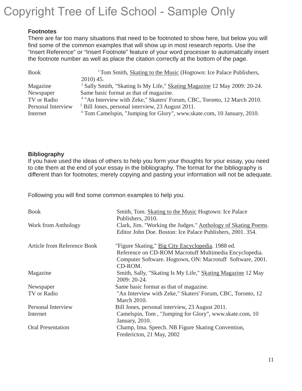#### **Footnotes**

There are far too many situations that need to be footnoted to show here, but below you will find some of the common examples that will show up in most research reports. Use the "Insert Reference" or "Insert Footnote" feature of your word processer to automatically insert the footnote number as well as place the citation correctly at the bottom of the page.

| <b>Book</b>        | <sup>1</sup> Tom Smith, <i>Skating to the Music</i> (Hogtown: Ice Palace Publishers, |  |  |
|--------------------|--------------------------------------------------------------------------------------|--|--|
|                    | $2010$ ) 45.                                                                         |  |  |
| Magazine           | <sup>2</sup> Sally Smith, "Skating Is My Life," Skating Magazine 12 May 2009: 20-24. |  |  |
| Newspaper          | Same basic format as that of magazine.                                               |  |  |
| TV or Radio        | <sup>4</sup> "An Interview with Zeke," Skaters' Forum, CBC, Toronto, 12 March 2010.  |  |  |
| Personal Interview | $5$ Bill Jones, personal interview, 23 August 2011.                                  |  |  |
| Internet           | <sup>6</sup> Tom Camelspin, "Jumping for Glory", www.skate.com, 10 January, 2010.    |  |  |

#### **Bibliography**

If you have used the ideas of others to help you form your thoughts for your essay, you need to cite them at the end of your essay in the bibliography. The format for the bibliography is different than for footnotes; merely copying and pasting your information will not be adequate.

Following you will find some common examples to help you.

| <b>Book</b>                 | Smith, Tom. Skating to the Music Hogtown: Ice Palace<br>Publishers, 2010.                                                                                                           |  |
|-----------------------------|-------------------------------------------------------------------------------------------------------------------------------------------------------------------------------------|--|
| Work from Anthology         | Clark, Jim. "Working the Judges." Anthology of Skating Poems.<br>Editor John Doe. Boston: Ice Palace Publishers, 2001. 354.                                                         |  |
| Article from Reference Book | "Figure Skating," Big City Encyclopedia. 1988 ed.<br>Reference on CD-ROM Macrotuff Multimedia Encyclopedia.<br>Computer Software. Hogtown, ON: Macrotuff Software, 2001.<br>CD-ROM. |  |
| Magazine                    | Smith, Sally, "Skating Is My Life," Skating Magazine 12 May<br>2009: 20-24.                                                                                                         |  |
| Newspaper                   | Same basic format as that of magazine.                                                                                                                                              |  |
| TV or Radio                 | "An Interview with Zeke," Skaters' Forum, CBC, Toronto, 12<br><b>March 2010.</b>                                                                                                    |  |
| Personal Interview          | Bill Jones, personal interview, 23 August 2011.                                                                                                                                     |  |
| Internet                    | Camelspin, Tom, "Jumping for Glory", www.skate.com, 10<br>January, 2010.                                                                                                            |  |
| <b>Oral Presentation</b>    | Champ, Ima. Speech. NB Figure Skating Convention,<br>Fredericton, 21 May, 2002                                                                                                      |  |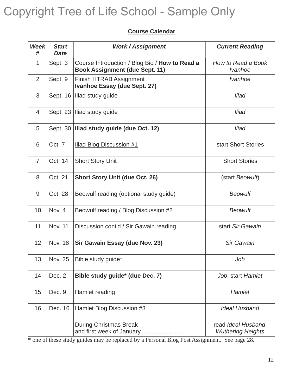### **Course Calendar**

| <b>Week</b><br># | <b>Start</b><br><b>Date</b> | <b>Work/Assignment</b>                                                                                                                        | <b>Current Reading</b>                          |
|------------------|-----------------------------|-----------------------------------------------------------------------------------------------------------------------------------------------|-------------------------------------------------|
| $\mathbf{1}$     | Sept. 3                     | Course Introduction / Blog Bio / How to Read a<br>How to Read a Book<br><b>Book Assignment (due Sept. 11)</b><br><i><u><b>Ivanhoe</b></u></i> |                                                 |
| 2                | Sept. 9                     | <i>Ivanhoe</i><br><b>Finish HTRAB Assignment</b><br>Ivanhoe Essay (due Sept. 27)                                                              |                                                 |
| 3                |                             | Sept. 16 Iliad study guide<br><b>Iliad</b>                                                                                                    |                                                 |
| 4                |                             | Sept. 23   Iliad study guide<br><b>Iliad</b>                                                                                                  |                                                 |
| 5                |                             | Sept. 30 Iliad study guide (due Oct. 12)<br><b>Iliad</b>                                                                                      |                                                 |
| 6                | Oct. 7                      | <b>Iliad Blog Discussion #1</b>                                                                                                               | start Short Stories                             |
| $\overline{7}$   | Oct. 14                     | <b>Short Story Unit</b>                                                                                                                       | <b>Short Stories</b>                            |
| 8                | Oct. 21                     | <b>Short Story Unit (due Oct. 26)</b>                                                                                                         | (start Beowulf)                                 |
| $9\,$            | Oct. 28                     | Beowulf reading (optional study guide)                                                                                                        | <b>Beowulf</b>                                  |
| 10               | Nov. 4                      | Beowulf reading / Blog Discussion #2                                                                                                          | <b>Beowulf</b>                                  |
| 11               | <b>Nov. 11</b>              | Discussion cont'd / Sir Gawain reading                                                                                                        | start Sir Gawain                                |
| 12               | <b>Nov. 18</b>              | Sir Gawain Essay (due Nov. 23)                                                                                                                | <b>Sir Gawain</b>                               |
| 13               | <b>Nov. 25</b>              | Bible study guide*                                                                                                                            | Job                                             |
| 14               | Dec. 2                      | Bible study guide* (due Dec. 7)                                                                                                               | Job, start Hamlet                               |
| 15               | Dec. 9                      | Hamlet reading                                                                                                                                | Hamlet                                          |
| 16               | Dec. 16                     | <b>Hamlet Blog Discussion #3</b>                                                                                                              | <b>Ideal Husband</b>                            |
|                  |                             | <b>During Christmas Break</b><br>and first week of January                                                                                    | read Ideal Husband,<br><b>Wuthering Heights</b> |

\* one of these study guides may be replaced by a Personal Blog Post Assignment. See page 28.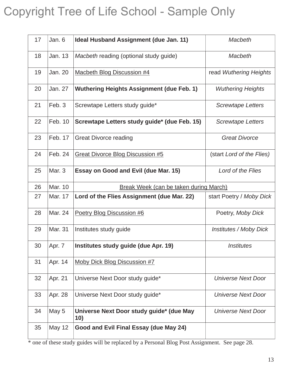| 17 | Jan. 6        | Ideal Husband Assignment (due Jan. 11)                                   | Macbeth                       |  |
|----|---------------|--------------------------------------------------------------------------|-------------------------------|--|
| 18 | Jan. 13       | Macbeth reading (optional study guide)<br><b>Macbeth</b>                 |                               |  |
| 19 | Jan. 20       | <b>Macbeth Blog Discussion #4</b>                                        | read Wuthering Heights        |  |
| 20 | Jan. 27       | <b>Wuthering Heights Assignment (due Feb. 1)</b>                         | <b>Wuthering Heights</b>      |  |
| 21 | Feb. 3        | Screwtape Letters study guide*<br><b>Screwtape Letters</b>               |                               |  |
| 22 | Feb. 10       | Screwtape Letters study guide* (due Feb. 15)<br><b>Screwtape Letters</b> |                               |  |
| 23 | Feb. 17       | <b>Great Divorce reading</b><br><b>Great Divorce</b>                     |                               |  |
| 24 | Feb. 24       | <b>Great Divorce Blog Discussion #5</b><br>(start Lord of the Flies)     |                               |  |
| 25 | Mar. 3        | Essay on Good and Evil (due Mar. 15)<br>Lord of the Flies                |                               |  |
| 26 | Mar. 10       | Break Week (can be taken during March)                                   |                               |  |
| 27 | Mar. 17       | Lord of the Flies Assignment (due Mar. 22)                               | start Poetry / Moby Dick      |  |
| 28 | Mar. 24       | Poetry Blog Discussion #6                                                | Poetry, Moby Dick             |  |
| 29 | Mar. 31       | Institutes study guide                                                   | <b>Institutes / Moby Dick</b> |  |
| 30 | Apr. 7        | Institutes study guide (due Apr. 19)                                     | <i><b>Institutes</b></i>      |  |
| 31 | Apr. 14       | Moby Dick Blog Discussion #7                                             |                               |  |
| 32 | Apr. 21       | Universe Next Door study guide*                                          | <b>Universe Next Door</b>     |  |
| 33 | Apr. 28       | Universe Next Door study guide*                                          | <b>Universe Next Door</b>     |  |
| 34 | May 5         | Universe Next Door study guide* (due May<br>10)                          | <b>Universe Next Door</b>     |  |
| 35 | <b>May 12</b> | Good and Evil Final Essay (due May 24)                                   |                               |  |

\* one of these study guides will be replaced by a Personal Blog Post Assignment. See page 28.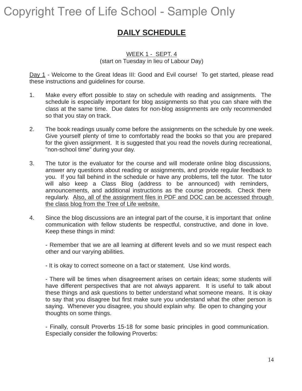### **DAILY SCHEDULE**

#### WEEK 1 - SEPT. 4 (start on Tuesday in lieu of Labour Day)

Day 1 - Welcome to the Great Ideas III: Good and Evil course! To get started, please read these instructions and guidelines for course.

- 1. Make every effort possible to stay on schedule with reading and assignments. The schedule is especially important for blog assignments so that you can share with the class at the same time. Due dates for non-blog assignments are only recommended so that you stay on track.
- 2. The book readings usually come before the assignments on the schedule by one week. Give yourself plenty of time to comfortably read the books so that you are prepared for the given assignment. It is suggested that you read the novels during recreational, "non-school time" during your day.
- 3. The tutor is the evaluator for the course and will moderate online blog discussions, answer any questions about reading or assignments, and provide regular feedback to you. If you fall behind in the schedule or have any problems, tell the tutor. The tutor will also keep a Class Blog (address to be announced) with reminders, announcements, and additional instructions as the course proceeds. Check there regularly. Also, all of the assignment files in PDF and DOC can be accessed through the class blog from the Tree of Life website.
- 4. Since the blog discussions are an integral part of the course, it is important that online communication with fellow students be respectful, constructive, and done in love. Keep these things in mind:

- Remember that we are all learning at different levels and so we must respect each other and our varying abilities.

- It is okay to correct someone on a fact or statement. Use kind words.

- There will be times when disagreement arises on certain ideas; some students will have different perspectives that are not always apparent. It is useful to talk about these things and ask questions to better understand what someone means. It is okay to say that you disagree but first make sure you understand what the other person is saying. Whenever you disagree, you should explain why. Be open to changing your thoughts on some things.

- Finally, consult Proverbs 15-18 for some basic principles in good communication. Especially consider the following Proverbs: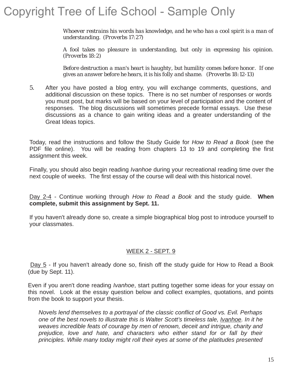*Whoever restrains his words has knowledge, and he who has a cool spirit is a man of understanding. (Proverbs 17:27)*

*A fool takes no pleasure in understanding, but only in expressing his opinion. (Proverbs 18:2)*

*Before destruction a man's heart is haughty, but humility comes before honor. If one gives an answer before he hears, it is his folly and shame. (Proverbs 18:12-13)*

5. After you have posted a blog entry, you will exchange comments, questions, and additional discussion on these topics. There is no set number of responses or words you must post, but marks will be based on your level of participation and the content of responses. The blog discussions will sometimes precede formal essays. Use these discussions as a chance to gain writing ideas and a greater understanding of the Great Ideas topics.

Today, read the instructions and follow the Study Guide for *How to Read a Book* (see the PDF file online). You will be reading from chapters 13 to 19 and completing the first assignment this week.

Finally, you should also begin reading *Ivanhoe* during your recreational reading time over the next couple of weeks. The first essay of the course will deal with this historical novel.

Day 2-4 - Continue working through *How to Read a Book* and the study guide. **When complete, submit this assignment by Sept. 11.**

If you haven't already done so, create a simple biographical blog post to introduce yourself to your classmates.

#### WEEK 2 - SEPT. 9

Day 5 - If you haven't already done so, finish off the study guide for How to Read a Book (due by Sept. 11).

Even if you aren't done reading *Ivanhoe*, start putting together some ideas for your essay on this novel. Look at the essay question below and collect examples, quotations, and points from the book to support your thesis.

*Novels lend themselves to a portrayal of the classic conflict of Good vs. Evil. Perhaps one of the best novels to illustrate this is Walter Scott's timeless tale, Ivanhoe. In it he weaves incredible feats of courage by men of renown, deceit and intrigue, charity and prejudice, love and hate, and characters who either stand for or fall by their principles. While many today might roll their eyes at some of the platitudes presented*